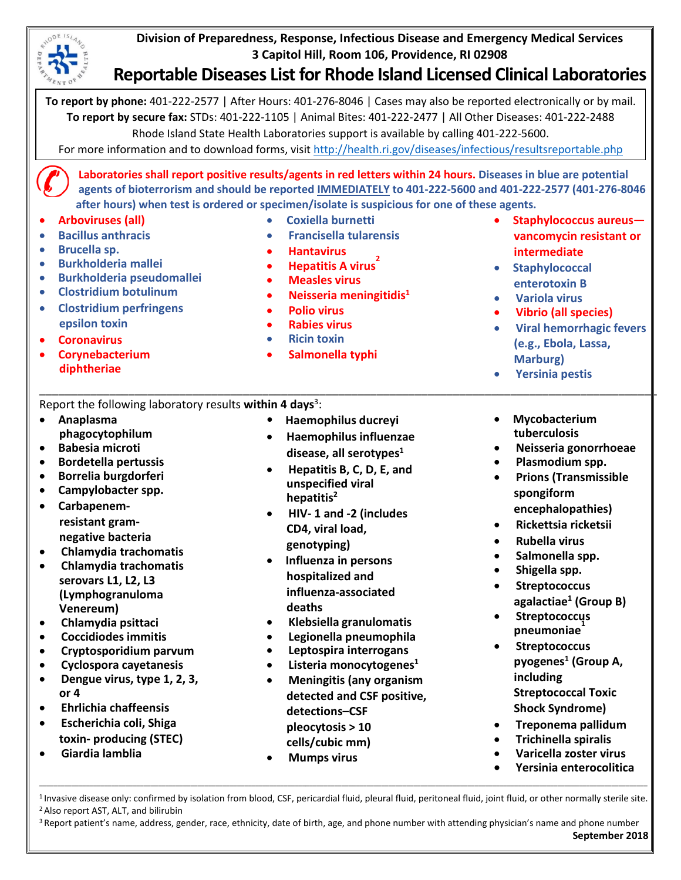**Division of Preparedness, Response, Infectious Disease and Emergency Medical Services 3 Capitol Hill, Room 106, Providence, RI 02908** 

## **Reportable Diseases List for Rhode Island Licensed Clinical Laboratories**

**To report by phone:** 401-222-2577 | After Hours: 401-276-8046 | Cases may also be reported electronically or by mail. **To report by secure fax:** STDs: 401-222-1105 | Animal Bites: 401-222-2477 | All Other Diseases: 401-222-2488 Rhode Island State Health Laboratories support is available by calling 401-222-5600.

For more information and to download forms, visit<http://health.ri.gov/diseases/infectious/resultsreportable.php>

**Laboratories shall report positive results/agents in red letters within 24 hours. Diseases in blue are potential agents of bioterrorism and should be reported IMMEDIATELY to 401-222-5600 and 401-222-2577 (401-276-8046 after hours) when test is ordered or specimen/isolate is suspicious for one of these agents.**

- **Arboviruses (all)**
- **Bacillus anthracis**
- **Brucella sp.**
- **Burkholderia mallei**
- **Burkholderia pseudomallei**
- **Clostridium botulinum**
- **Clostridium perfringens epsilon toxin**
- **Coronavirus**
- **Corynebacterium diphtheriae**
- **Coxiella burnetti**
- **Francisella tularensis**
	- **Hantavirus**
- **• Hepatitis A virus**
- **Measles virus**
- **Neisseria meningitidis1**
- **Polio virus**
- **Rabies virus**
- **Ricin toxin**
- **Salmonella typhi**
- **Staphylococcus aureus vancomycin resistant or intermediate**
- **Staphylococcal enterotoxin B**
- **Variola virus**
- **Vibrio (all species)**
- **Viral hemorrhagic fevers (e.g., Ebola, Lassa, Marburg)**
- **Yersinia pestis**

## Report the following laboratory results within 4 days<sup>3</sup>:

- **Anaplasma phagocytophilum**  • **• Haemophilus ducreyi**
- **Babesia microti**
- **Bordetella pertussis**
- **Borrelia burgdorferi**
- **Campylobacter spp.**
- **Carbapenemresistant gramnegative bacteria**
- **Chlamydia trachomatis**
- **Chlamydia trachomatis serovars L1, L2, L3 (Lymphogranuloma Venereum)**
- **Chlamydia psittaci**
- **Coccidiodes immitis**
- **Cryptosporidium parvum**
- **Cyclospora cayetanesis**
- **Dengue virus, type 1, 2, 3, or 4**
- **Ehrlichia chaffeensis**
- **Escherichia coli, Shiga toxin- producing (STEC)**
- **Giardia lamblia**

• **Haemophilus influenzae disease, all serotypes1**

\_\_\_\_\_\_\_\_\_\_\_\_\_\_\_\_\_\_\_\_\_\_\_\_\_\_\_\_\_\_\_\_\_\_\_\_\_\_\_\_\_\_\_\_\_\_\_\_\_\_\_\_\_\_\_\_\_\_\_\_\_\_\_\_\_\_\_\_\_\_\_\_\_\_\_\_\_\_\_\_\_\_\_\_\_\_\_\_\_\_\_\_\_\_\_\_\_

- **Hepatitis B, C, D, E, and unspecified viral hepatitis2**
- **HIV- 1 and -2 (includes CD4, viral load, genotyping)**
- **Influenza in persons hospitalized and influenza-associated deaths**
- **Klebsiella [granulomatis](https://en.wikipedia.org/wiki/Klebsiella_granulomatis)**
- **Legionella pneumophila**
- **Leptospira interrogans**
- **Listeria monocytogenes1**
- **Meningitis (any organism detected and CSF positive, detections–CSF pleocytosis > 10 cells/cubic mm)**
- **Mumps virus**
- **Mycobacterium tuberculosis**
- **Neisseria gonorrhoeae**
- **Plasmodium spp.**
- **Prions (Transmissible spongiform encephalopathies)**
- **Rickettsia ricketsii**
- **Rubella virus**
- **Salmonella spp.**
- **Shigella spp.**
- **Streptococcus agalactiae1 (Group B)**
- **Streptococcus pneumoniae1**
- **Streptococcus pyogenes1 (Group A, including Streptococcal Toxic Shock Syndrome)**
- **Treponema pallidum**
- **Trichinella spiralis**
- **Varicella zoster virus**
- **Yersinia enterocolitica**

\_\_\_\_\_\_\_\_\_\_\_\_\_\_\_\_\_\_\_\_\_\_\_\_\_\_\_\_\_\_\_\_\_\_\_\_\_\_\_\_\_\_\_\_\_\_\_\_\_\_\_\_\_\_\_\_\_\_\_\_\_\_\_\_\_\_\_\_\_\_\_\_\_\_\_\_\_\_\_\_\_\_\_\_\_\_\_\_\_\_\_\_\_\_\_\_\_\_\_\_\_\_\_\_\_\_\_\_\_\_\_\_\_\_\_\_\_\_\_\_\_\_\_\_\_\_\_\_\_\_\_\_\_\_\_\_\_\_\_\_\_\_\_\_\_\_\_\_\_\_\_\_\_\_\_\_\_\_\_\_\_\_\_\_\_\_\_\_\_ <sup>1</sup> Invasive disease only: confirmed by isolation from blood, CSF, pericardial fluid, pleural fluid, peritoneal fluid, joint fluid, or other normally sterile site.<br><sup>2</sup> Also report AST, ALT, and bilirubin

<sup>3</sup> Report patient's name, address, gender, race, ethnicity, date of birth, age, and phone number with attending physician's name and phone number